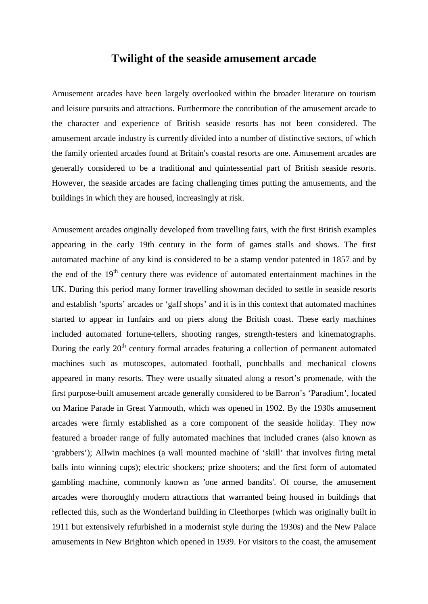## **Twilight of the seaside amusement arcade**

Amusement arcades have been largely overlooked within the broader literature on tourism and leisure pursuits and attractions. Furthermore the contribution of the amusement arcade to the character and experience of British seaside resorts has not been considered. The amusement arcade industry is currently divided into a number of distinctive sectors, of which the family oriented arcades found at Britain's coastal resorts are one. Amusement arcades are generally considered to be a traditional and quintessential part of British seaside resorts. However, the seaside arcades are facing challenging times putting the amusements, and the buildings in which they are housed, increasingly at risk.

Amusement arcades originally developed from travelling fairs, with the first British examples appearing in the early 19th century in the form of games stalls and shows. The first automated machine of any kind is considered to be a stamp vendor patented in 1857 and by the end of the 19<sup>th</sup> century there was evidence of automated entertainment machines in the UK. During this period many former travelling showman decided to settle in seaside resorts and establish 'sports' arcades or 'gaff shops' and it is in this context that automated machines started to appear in funfairs and on piers along the British coast. These early machines included automated fortune-tellers, shooting ranges, strength-testers and kinematographs. During the early 20<sup>th</sup> century formal arcades featuring a collection of permanent automated machines such as mutoscopes, automated football, punchballs and mechanical clowns appeared in many resorts. They were usually situated along a resort's promenade, with the first purpose-built amusement arcade generally considered to be Barron's 'Paradium', located on Marine Parade in Great Yarmouth, which was opened in 1902. By the 1930s amusement arcades were firmly established as a core component of the seaside holiday. They now featured a broader range of fully automated machines that included cranes (also known as 'grabbers'); Allwin machines (a wall mounted machine of 'skill' that involves firing metal balls into winning cups); electric shockers; prize shooters; and the first form of automated gambling machine, commonly known as 'one armed bandits'. Of course, the amusement arcades were thoroughly modern attractions that warranted being housed in buildings that reflected this, such as the Wonderland building in Cleethorpes (which was originally built in 1911 but extensively refurbished in a modernist style during the 1930s) and the New Palace amusements in New Brighton which opened in 1939. For visitors to the coast, the amusement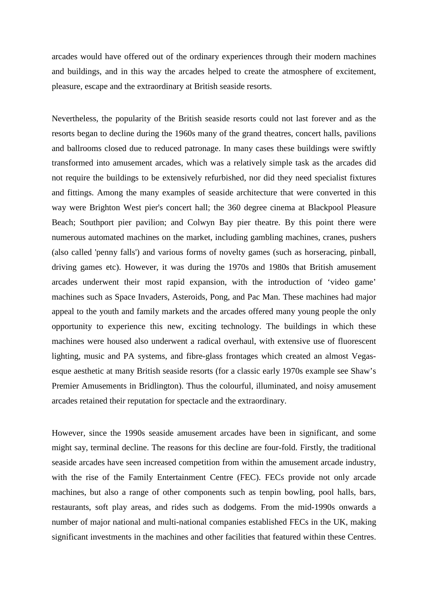arcades would have offered out of the ordinary experiences through their modern machines and buildings, and in this way the arcades helped to create the atmosphere of excitement, pleasure, escape and the extraordinary at British seaside resorts.

Nevertheless, the popularity of the British seaside resorts could not last forever and as the resorts began to decline during the 1960s many of the grand theatres, concert halls, pavilions and ballrooms closed due to reduced patronage. In many cases these buildings were swiftly transformed into amusement arcades, which was a relatively simple task as the arcades did not require the buildings to be extensively refurbished, nor did they need specialist fixtures and fittings. Among the many examples of seaside architecture that were converted in this way were Brighton West pier's concert hall; the 360 degree cinema at Blackpool Pleasure Beach; Southport pier pavilion; and Colwyn Bay pier theatre. By this point there were numerous automated machines on the market, including gambling machines, cranes, pushers (also called 'penny falls') and various forms of novelty games (such as horseracing, pinball, driving games etc). However, it was during the 1970s and 1980s that British amusement arcades underwent their most rapid expansion, with the introduction of 'video game' machines such as Space Invaders, Asteroids, Pong, and Pac Man. These machines had major appeal to the youth and family markets and the arcades offered many young people the only opportunity to experience this new, exciting technology. The buildings in which these machines were housed also underwent a radical overhaul, with extensive use of fluorescent lighting, music and PA systems, and fibre-glass frontages which created an almost Vegasesque aesthetic at many British seaside resorts (for a classic early 1970s example see Shaw's Premier Amusements in Bridlington). Thus the colourful, illuminated, and noisy amusement arcades retained their reputation for spectacle and the extraordinary.

However, since the 1990s seaside amusement arcades have been in significant, and some might say, terminal decline. The reasons for this decline are four-fold. Firstly, the traditional seaside arcades have seen increased competition from within the amusement arcade industry, with the rise of the Family Entertainment Centre (FEC). FECs provide not only arcade machines, but also a range of other components such as tenpin bowling, pool halls, bars, restaurants, soft play areas, and rides such as dodgems. From the mid-1990s onwards a number of major national and multi-national companies established FECs in the UK, making significant investments in the machines and other facilities that featured within these Centres.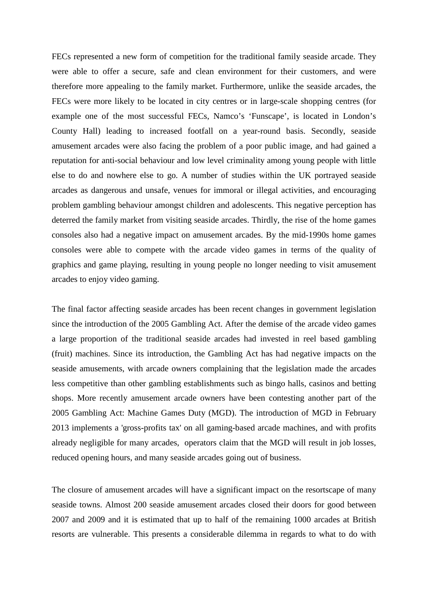FECs represented a new form of competition for the traditional family seaside arcade. They were able to offer a secure, safe and clean environment for their customers, and were therefore more appealing to the family market. Furthermore, unlike the seaside arcades, the FECs were more likely to be located in city centres or in large-scale shopping centres (for example one of the most successful FECs, Namco's 'Funscape', is located in London's County Hall) leading to increased footfall on a year-round basis. Secondly, seaside amusement arcades were also facing the problem of a poor public image, and had gained a reputation for anti-social behaviour and low level criminality among young people with little else to do and nowhere else to go. A number of studies within the UK portrayed seaside arcades as dangerous and unsafe, venues for immoral or illegal activities, and encouraging problem gambling behaviour amongst children and adolescents. This negative perception has deterred the family market from visiting seaside arcades. Thirdly, the rise of the home games consoles also had a negative impact on amusement arcades. By the mid-1990s home games consoles were able to compete with the arcade video games in terms of the quality of graphics and game playing, resulting in young people no longer needing to visit amusement arcades to enjoy video gaming.

The final factor affecting seaside arcades has been recent changes in government legislation since the introduction of the 2005 Gambling Act. After the demise of the arcade video games a large proportion of the traditional seaside arcades had invested in reel based gambling (fruit) machines. Since its introduction, the Gambling Act has had negative impacts on the seaside amusements, with arcade owners complaining that the legislation made the arcades less competitive than other gambling establishments such as bingo halls, casinos and betting shops. More recently amusement arcade owners have been contesting another part of the 2005 Gambling Act: Machine Games Duty (MGD). The introduction of MGD in February 2013 implements a 'gross-profits tax' on all gaming-based arcade machines, and with profits already negligible for many arcades, operators claim that the MGD will result in job losses, reduced opening hours, and many seaside arcades going out of business.

The closure of amusement arcades will have a significant impact on the resortscape of many seaside towns. Almost 200 seaside amusement arcades closed their doors for good between 2007 and 2009 and it is estimated that up to half of the remaining 1000 arcades at British resorts are vulnerable. This presents a considerable dilemma in regards to what to do with